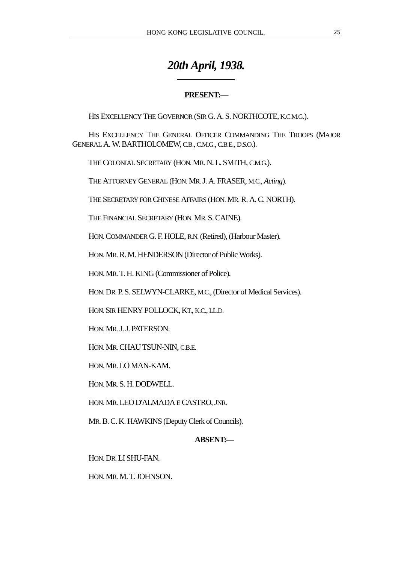# *20th April, 1938.*

## **PRESENT:**—

HIS EXCELLENCY THE GOVERNOR (SIR G. A. S. NORTHCOTE, K.C.M.G.).

HIS EXCELLENCY THE GENERAL OFFICER COMMANDING THE TROOPS (MAJOR GENERAL A. W. BARTHOLOMEW, C.B., C.M.G., C.B.E., D.S.O.).

THE COLONIAL SECRETARY (HON. MR. N. L. SMITH, C.M.G.).

 $\overline{a}$ 

THE ATTORNEY GENERAL (HON. MR. J. A. FRASER, M.C., *Acting*).

THE SECRETARY FOR CHINESE AFFAIRS (HON. MR. R. A. C. NORTH).

THE FINANCIAL SECRETARY (HON. MR. S. CAINE).

HON. COMMANDER G. F. HOLE, R.N. (Retired), (Harbour Master).

HON. MR. R. M. HENDERSON (Director of Public Works).

HON. MR. T. H. KING (Commissioner of Police).

HON. DR. P. S. SELWYN-CLARKE, M.C., (Director of Medical Services).

HON. SIR HENRY POLLOCK, KT., K.C., LL.D.

HON. MR. J. J. PATERSON.

HON. MR. CHAU TSUN-NIN, C.B.E.

HON. MR. LO MAN-KAM.

HON. MR. S. H. DODWELL.

HON. MR. LEO D'ALMADA E CASTRO, JNR.

MR. B. C. K. HAWKINS (Deputy Clerk of Councils).

### **ABSENT:**—

HON. DR. LI SHU-FAN.

HON. MR. M. T. JOHNSON.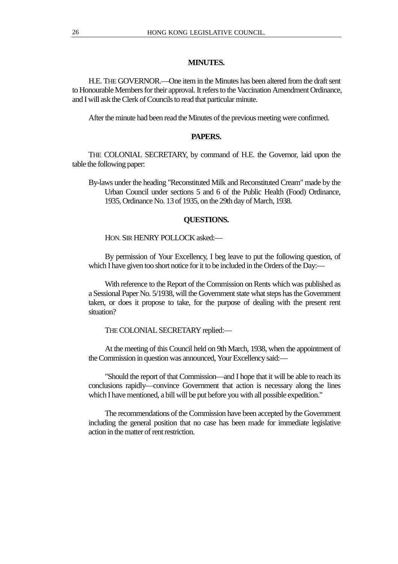## **MINUTES.**

H.E. THE GOVERNOR.—One item in the Minutes has been altered from the draft sent to Honourable Members for their approval. It refers to the Vaccination Amendment Ordinance, and I will ask the Clerk of Councils to read that particular minute.

After the minute had been read the Minutes of the previous meeting were confirmed.

## **PAPERS.**

THE COLONIAL SECRETARY, by command of H.E. the Governor, laid upon the table the following paper:

By-laws under the heading "Reconstituted Milk and Reconstituted Cream" made by the Urban Council under sections 5 and 6 of the Public Health (Food) Ordinance, 1935, Ordinance No. 13 of 1935, on the 29th day of March, 1938.

#### **QUESTIONS.**

HON. SIR HENRY POLLOCK asked:—

By permission of Your Excellency, I beg leave to put the following question, of which I have given too short notice for it to be included in the Orders of the Day:—

With reference to the Report of the Commission on Rents which was published as a Sessional Paper No. 5/1938, will the Government state what steps has the Government taken, or does it propose to take, for the purpose of dealing with the present rent situation?

THE COLONIAL SECRETARY replied:—

At the meeting of this Council held on 9th March, 1938, when the appointment of the Commission in question was announced, Your Excellency said:—

"Should the report of that Commission—and I hope that it will be able to reach its conclusions rapidly—convince Government that action is necessary along the lines which I have mentioned, a bill will be put before you with all possible expedition."

The recommendations of the Commission have been accepted by the Government including the general position that no case has been made for immediate legislative action in the matter of rent restriction.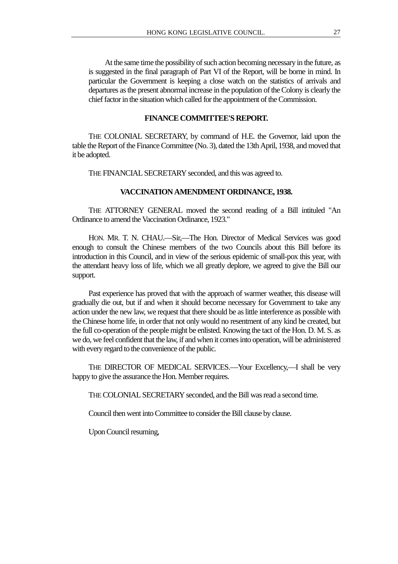At the same time the possibility of such action becoming necessary in the future, as is suggested in the final paragraph of Part VI of the Report, will be borne in mind. In particular the Government is keeping a close watch on the statistics of arrivals and departures as the present abnormal increase in the population of the Colony is clearly the chief factor in the situation which called for the appointment of the Commission.

#### **FINANCE COMMITTEE'S REPORT.**

THE COLONIAL SECRETARY, by command of H.E. the Governor, laid upon the table the Report of the Finance Committee (No. 3), dated the 13th April, 1938, and moved that it be adopted.

THE FINANCIAL SECRETARY seconded, and this was agreed to.

#### **VACCINATION AMENDMENT ORDINANCE, 1938.**

THE ATTORNEY GENERAL moved the second reading of a Bill intituled "An Ordinance to amend the Vaccination Ordinance, 1923."

HON. MR. T. N. CHAU.—Sir,—The Hon. Director of Medical Services was good enough to consult the Chinese members of the two Councils about this Bill before its introduction in this Council, and in view of the serious epidemic of small-pox this year, with the attendant heavy loss of life, which we all greatly deplore, we agreed to give the Bill our support.

Past experience has proved that with the approach of warmer weather, this disease will gradually die out, but if and when it should become necessary for Government to take any action under the new law, we request that there should be as little interference as possible with the Chinese home life, in order that not only would no resentment of any kind be created, but the full co-operation of the people might be enlisted. Knowing the tact of the Hon. D. M. S. as we do, we feel confident that the law, if and when it comes into operation, will be administered with every regard to the convenience of the public.

THE DIRECTOR OF MEDICAL SERVICES.—Your Excellency,—I shall be very happy to give the assurance the Hon. Member requires.

THE COLONIAL SECRETARY seconded, and the Bill was read a second time.

Council then went into Committee to consider the Bill clause by clause.

Upon Council resuming,